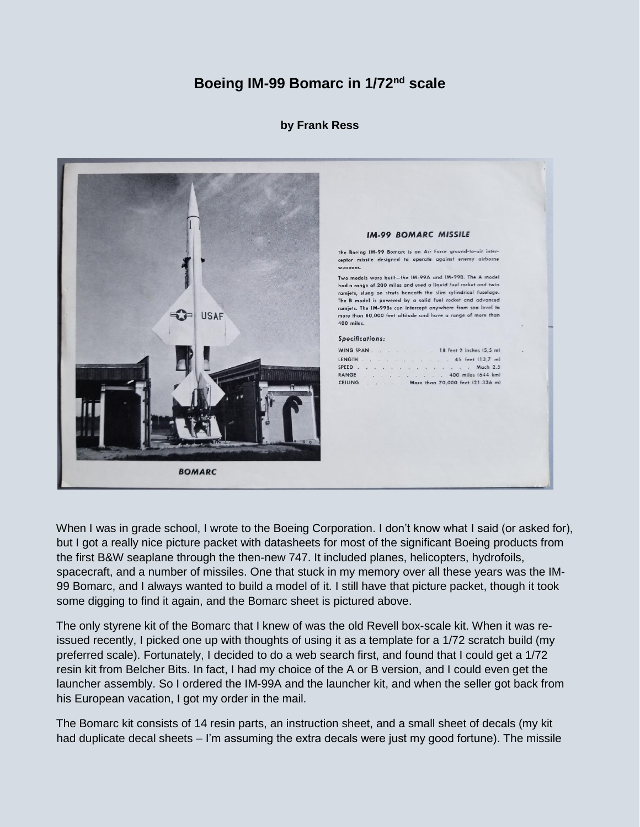## **Boeing IM-99 Bomarc in 1/72nd scale**

## **by Frank Ress**



When I was in grade school, I wrote to the Boeing Corporation. I don't know what I said (or asked for), but I got a really nice picture packet with datasheets for most of the significant Boeing products from the first B&W seaplane through the then-new 747. It included planes, helicopters, hydrofoils, spacecraft, and a number of missiles. One that stuck in my memory over all these years was the IM-99 Bomarc, and I always wanted to build a model of it. I still have that picture packet, though it took some digging to find it again, and the Bomarc sheet is pictured above.

The only styrene kit of the Bomarc that I knew of was the old Revell box-scale kit. When it was reissued recently, I picked one up with thoughts of using it as a template for a 1/72 scratch build (my preferred scale). Fortunately, I decided to do a web search first, and found that I could get a 1/72 resin kit from Belcher Bits. In fact, I had my choice of the A or B version, and I could even get the launcher assembly. So I ordered the IM-99A and the launcher kit, and when the seller got back from his European vacation, I got my order in the mail.

The Bomarc kit consists of 14 resin parts, an instruction sheet, and a small sheet of decals (my kit had duplicate decal sheets – I'm assuming the extra decals were just my good fortune). The missile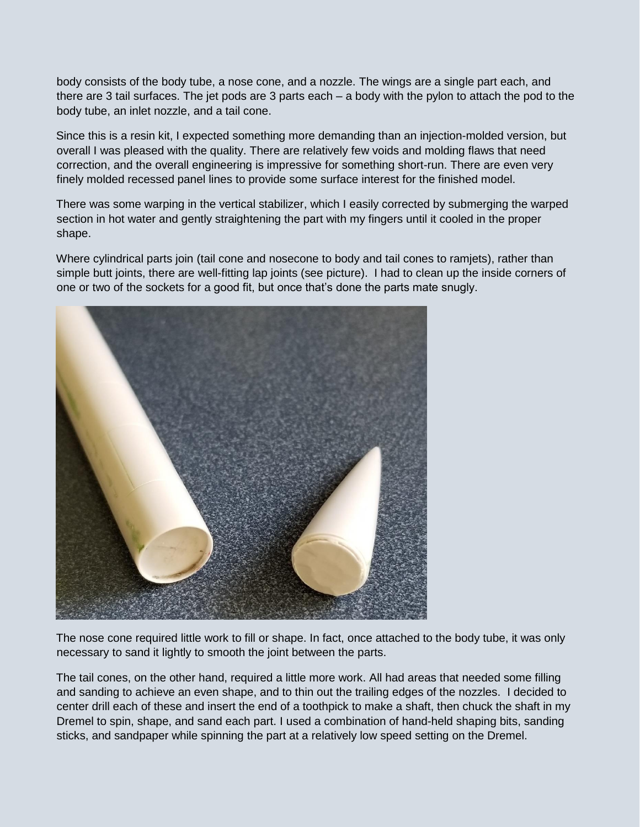body consists of the body tube, a nose cone, and a nozzle. The wings are a single part each, and there are 3 tail surfaces. The jet pods are 3 parts each – a body with the pylon to attach the pod to the body tube, an inlet nozzle, and a tail cone.

Since this is a resin kit, I expected something more demanding than an injection-molded version, but overall I was pleased with the quality. There are relatively few voids and molding flaws that need correction, and the overall engineering is impressive for something short-run. There are even very finely molded recessed panel lines to provide some surface interest for the finished model.

There was some warping in the vertical stabilizer, which I easily corrected by submerging the warped section in hot water and gently straightening the part with my fingers until it cooled in the proper shape.

Where cylindrical parts join (tail cone and nosecone to body and tail cones to ramjets), rather than simple butt joints, there are well-fitting lap joints (see picture). I had to clean up the inside corners of one or two of the sockets for a good fit, but once that's done the parts mate snugly.



The nose cone required little work to fill or shape. In fact, once attached to the body tube, it was only necessary to sand it lightly to smooth the joint between the parts.

The tail cones, on the other hand, required a little more work. All had areas that needed some filling and sanding to achieve an even shape, and to thin out the trailing edges of the nozzles. I decided to center drill each of these and insert the end of a toothpick to make a shaft, then chuck the shaft in my Dremel to spin, shape, and sand each part. I used a combination of hand-held shaping bits, sanding sticks, and sandpaper while spinning the part at a relatively low speed setting on the Dremel.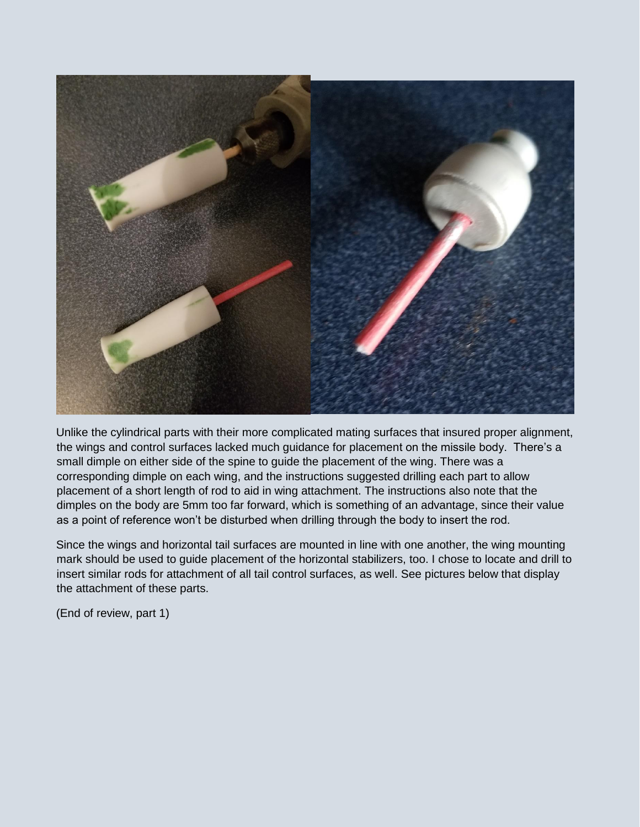

Unlike the cylindrical parts with their more complicated mating surfaces that insured proper alignment, the wings and control surfaces lacked much guidance for placement on the missile body. There's a small dimple on either side of the spine to guide the placement of the wing. There was a corresponding dimple on each wing, and the instructions suggested drilling each part to allow placement of a short length of rod to aid in wing attachment. The instructions also note that the dimples on the body are 5mm too far forward, which is something of an advantage, since their value as a point of reference won't be disturbed when drilling through the body to insert the rod.

Since the wings and horizontal tail surfaces are mounted in line with one another, the wing mounting mark should be used to guide placement of the horizontal stabilizers, too. I chose to locate and drill to insert similar rods for attachment of all tail control surfaces, as well. See pictures below that display the attachment of these parts.

(End of review, part 1)